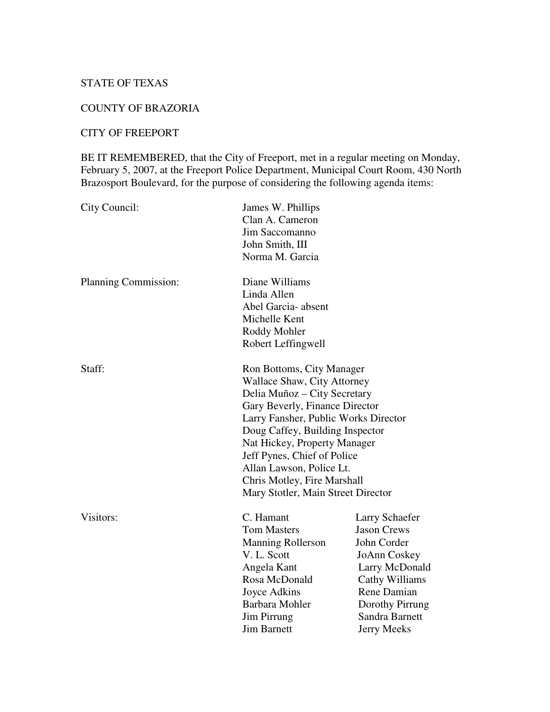# STATE OF TEXAS

### COUNTY OF BRAZORIA

# CITY OF FREEPORT

BE IT REMEMBERED, that the City of Freeport, met in a regular meeting on Monday, February 5, 2007, at the Freeport Police Department, Municipal Court Room, 430 North Brazosport Boulevard, for the purpose of considering the following agenda items:

| City Council:        | James W. Phillips                    |                    |
|----------------------|--------------------------------------|--------------------|
|                      | Clan A. Cameron                      |                    |
|                      | Jim Saccomanno                       |                    |
|                      | John Smith, III                      |                    |
|                      | Norma M. Garcia                      |                    |
| Planning Commission: | Diane Williams                       |                    |
|                      | Linda Allen                          |                    |
|                      | Abel Garcia- absent                  |                    |
|                      | Michelle Kent                        |                    |
|                      | Roddy Mohler                         |                    |
|                      | Robert Leffingwell                   |                    |
| Staff:               | Ron Bottoms, City Manager            |                    |
|                      | Wallace Shaw, City Attorney          |                    |
|                      | Delia Muñoz - City Secretary         |                    |
|                      | Gary Beverly, Finance Director       |                    |
|                      | Larry Fansher, Public Works Director |                    |
|                      | Doug Caffey, Building Inspector      |                    |
|                      | Nat Hickey, Property Manager         |                    |
|                      | Jeff Pynes, Chief of Police          |                    |
|                      | Allan Lawson, Police Lt.             |                    |
|                      | Chris Motley, Fire Marshall          |                    |
|                      | Mary Stotler, Main Street Director   |                    |
| Visitors:            | C. Hamant                            | Larry Schaefer     |
|                      | <b>Tom Masters</b>                   | <b>Jason Crews</b> |
|                      | <b>Manning Rollerson</b>             | John Corder        |
|                      | V. L. Scott                          | JoAnn Coskey       |
|                      | Angela Kant                          | Larry McDonald     |
|                      | Rosa McDonald                        | Cathy Williams     |
|                      | Joyce Adkins                         | Rene Damian        |
|                      | Barbara Mohler                       | Dorothy Pirrung    |
|                      | <b>Jim Pirrung</b>                   | Sandra Barnett     |
|                      | <b>Jim Barnett</b>                   | <b>Jerry Meeks</b> |
|                      |                                      |                    |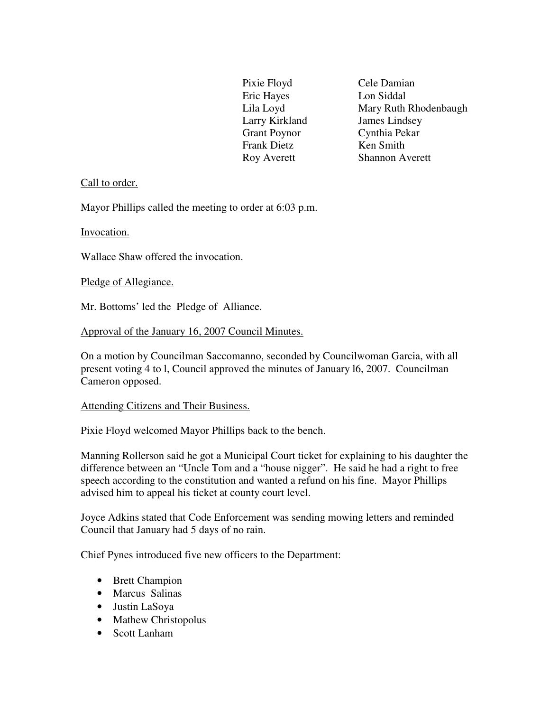Eric Hayes Lon Siddal Larry Kirkland James Lindsey Grant Poynor Cynthia Pekar Frank Dietz Ken Smith

Pixie Floyd Cele Damian Lila Loyd Mary Ruth Rhodenbaugh Roy Averett Shannon Averett

## Call to order.

Mayor Phillips called the meeting to order at 6:03 p.m.

Invocation.

Wallace Shaw offered the invocation.

Pledge of Allegiance.

Mr. Bottoms' led the Pledge of Alliance.

Approval of the January 16, 2007 Council Minutes.

On a motion by Councilman Saccomanno, seconded by Councilwoman Garcia, with all present voting 4 to l, Council approved the minutes of January l6, 2007. Councilman Cameron opposed.

#### Attending Citizens and Their Business.

Pixie Floyd welcomed Mayor Phillips back to the bench.

Manning Rollerson said he got a Municipal Court ticket for explaining to his daughter the difference between an "Uncle Tom and a "house nigger". He said he had a right to free speech according to the constitution and wanted a refund on his fine. Mayor Phillips advised him to appeal his ticket at county court level.

Joyce Adkins stated that Code Enforcement was sending mowing letters and reminded Council that January had 5 days of no rain.

Chief Pynes introduced five new officers to the Department:

- Brett Champion
- Marcus Salinas
- Justin LaSoya
- Mathew Christopolus
- Scott Lanham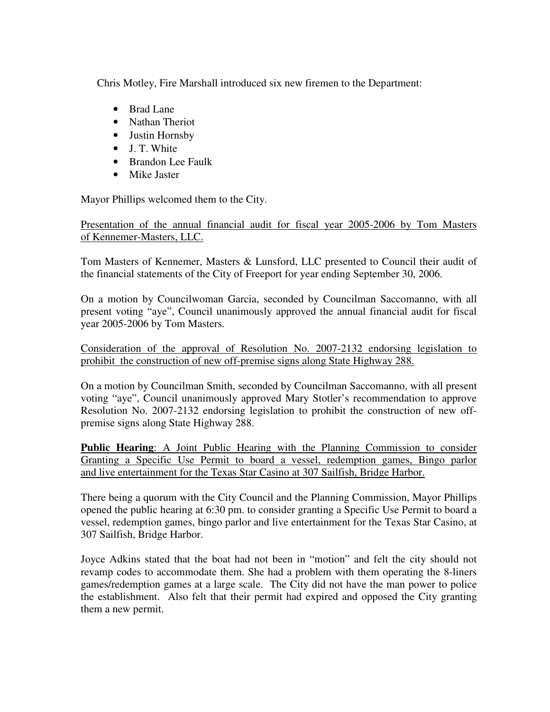Chris Motley, Fire Marshall introduced six new firemen to the Department:

- Brad Lane
- Nathan Theriot
- Justin Hornsby
- J. T. White
- Brandon Lee Faulk
- Mike Jaster

Mayor Phillips welcomed them to the City.

Presentation of the annual financial audit for fiscal year 2005-2006 by Tom Masters of Kennemer-Masters, LLC.

Tom Masters of Kennemer, Masters & Lunsford, LLC presented to Council their audit of the financial statements of the City of Freeport for year ending September 30, 2006.

On a motion by Councilwoman Garcia, seconded by Councilman Saccomanno, with all present voting "aye", Council unanimously approved the annual financial audit for fiscal year 2005-2006 by Tom Masters.

Consideration of the approval of Resolution No. 2007-2132 endorsing legislation to prohibit the construction of new off-premise signs along State Highway 288.

On a motion by Councilman Smith, seconded by Councilman Saccomanno, with all present voting "aye", Council unanimously approved Mary Stotler's recommendation to approve Resolution No. 2007-2132 endorsing legislation to prohibit the construction of new offpremise signs along State Highway 288.

**Public Hearing**: A Joint Public Hearing with the Planning Commission to consider Granting a Specific Use Permit to board a vessel, redemption games, Bingo parlor and live entertainment for the Texas Star Casino at 307 Sailfish, Bridge Harbor.

There being a quorum with the City Council and the Planning Commission, Mayor Phillips opened the public hearing at 6:30 pm. to consider granting a Specific Use Permit to board a vessel, redemption games, bingo parlor and live entertainment for the Texas Star Casino, at 307 Sailfish, Bridge Harbor.

Joyce Adkins stated that the boat had not been in "motion" and felt the city should not revamp codes to accommodate them. She had a problem with them operating the 8-liners games/redemption games at a large scale. The City did not have the man power to police the establishment. Also felt that their permit had expired and opposed the City granting them a new permit.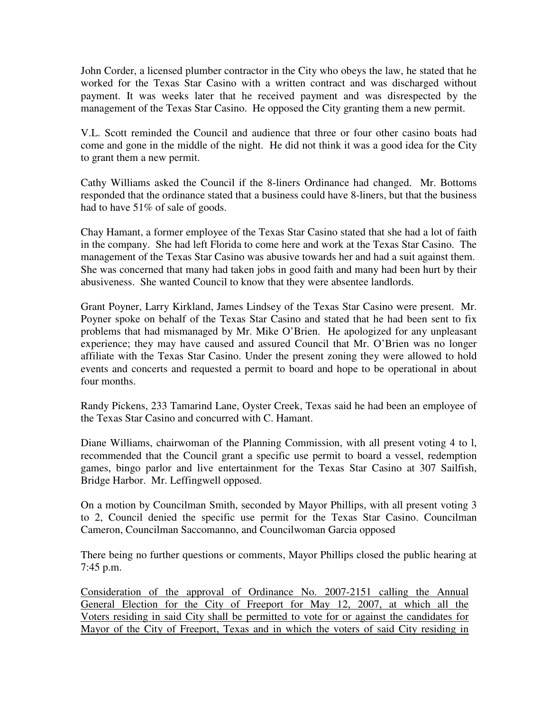John Corder, a licensed plumber contractor in the City who obeys the law, he stated that he worked for the Texas Star Casino with a written contract and was discharged without payment. It was weeks later that he received payment and was disrespected by the management of the Texas Star Casino. He opposed the City granting them a new permit.

V.L. Scott reminded the Council and audience that three or four other casino boats had come and gone in the middle of the night. He did not think it was a good idea for the City to grant them a new permit.

Cathy Williams asked the Council if the 8-liners Ordinance had changed. Mr. Bottoms responded that the ordinance stated that a business could have 8-liners, but that the business had to have 51% of sale of goods.

Chay Hamant, a former employee of the Texas Star Casino stated that she had a lot of faith in the company. She had left Florida to come here and work at the Texas Star Casino. The management of the Texas Star Casino was abusive towards her and had a suit against them. She was concerned that many had taken jobs in good faith and many had been hurt by their abusiveness. She wanted Council to know that they were absentee landlords.

Grant Poyner, Larry Kirkland, James Lindsey of the Texas Star Casino were present. Mr. Poyner spoke on behalf of the Texas Star Casino and stated that he had been sent to fix problems that had mismanaged by Mr. Mike O'Brien. He apologized for any unpleasant experience; they may have caused and assured Council that Mr. O'Brien was no longer affiliate with the Texas Star Casino. Under the present zoning they were allowed to hold events and concerts and requested a permit to board and hope to be operational in about four months.

Randy Pickens, 233 Tamarind Lane, Oyster Creek, Texas said he had been an employee of the Texas Star Casino and concurred with C. Hamant.

Diane Williams, chairwoman of the Planning Commission, with all present voting 4 to l, recommended that the Council grant a specific use permit to board a vessel, redemption games, bingo parlor and live entertainment for the Texas Star Casino at 307 Sailfish, Bridge Harbor. Mr. Leffingwell opposed.

On a motion by Councilman Smith, seconded by Mayor Phillips, with all present voting 3 to 2, Council denied the specific use permit for the Texas Star Casino. Councilman Cameron, Councilman Saccomanno, and Councilwoman Garcia opposed

There being no further questions or comments, Mayor Phillips closed the public hearing at 7:45 p.m.

Consideration of the approval of Ordinance No. 2007-2151 calling the Annual General Election for the City of Freeport for May 12, 2007, at which all the Voters residing in said City shall be permitted to vote for or against the candidates for Mayor of the City of Freeport, Texas and in which the voters of said City residing in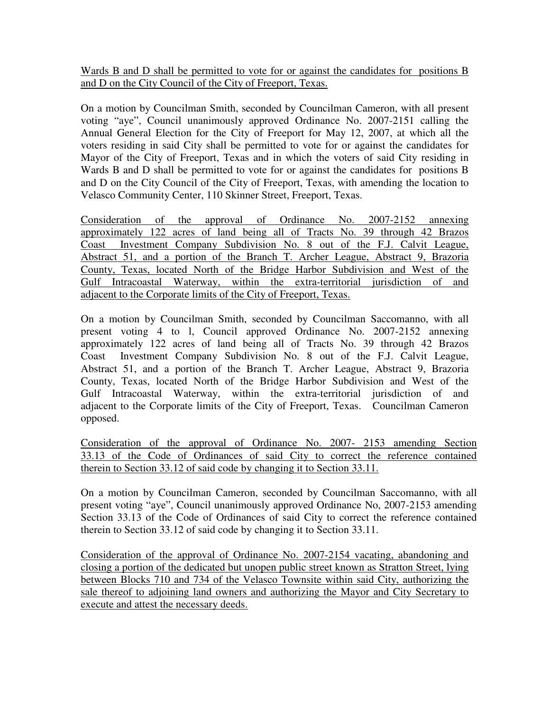Wards B and D shall be permitted to vote for or against the candidates for positions B and D on the City Council of the City of Freeport, Texas.

On a motion by Councilman Smith, seconded by Councilman Cameron, with all present voting "aye", Council unanimously approved Ordinance No. 2007-2151 calling the Annual General Election for the City of Freeport for May 12, 2007, at which all the voters residing in said City shall be permitted to vote for or against the candidates for Mayor of the City of Freeport, Texas and in which the voters of said City residing in Wards B and D shall be permitted to vote for or against the candidates for positions B and D on the City Council of the City of Freeport, Texas, with amending the location to Velasco Community Center, 110 Skinner Street, Freeport, Texas.

Consideration of the approval of Ordinance No. 2007-2152 annexing approximately 122 acres of land being all of Tracts No. 39 through 42 Brazos Coast Investment Company Subdivision No. 8 out of the F.J. Calvit League, Abstract 51, and a portion of the Branch T. Archer League, Abstract 9, Brazoria County, Texas, located North of the Bridge Harbor Subdivision and West of the Gulf Intracoastal Waterway, within the extra-territorial jurisdiction of and adjacent to the Corporate limits of the City of Freeport, Texas.

On a motion by Councilman Smith, seconded by Councilman Saccomanno, with all present voting 4 to l, Council approved Ordinance No. 2007-2152 annexing approximately 122 acres of land being all of Tracts No. 39 through 42 Brazos Coast Investment Company Subdivision No. 8 out of the F.J. Calvit League, Abstract 51, and a portion of the Branch T. Archer League, Abstract 9, Brazoria County, Texas, located North of the Bridge Harbor Subdivision and West of the Gulf Intracoastal Waterway, within the extra-territorial jurisdiction of and adjacent to the Corporate limits of the City of Freeport, Texas. Councilman Cameron opposed.

Consideration of the approval of Ordinance No. 2007- 2153 amending Section 33.13 of the Code of Ordinances of said City to correct the reference contained therein to Section 33.12 of said code by changing it to Section 33.11.

On a motion by Councilman Cameron, seconded by Councilman Saccomanno, with all present voting "aye", Council unanimously approved Ordinance No, 2007-2153 amending Section 33.13 of the Code of Ordinances of said City to correct the reference contained therein to Section 33.12 of said code by changing it to Section 33.11.

Consideration of the approval of Ordinance No. 2007-2154 vacating, abandoning and closing a portion of the dedicated but unopen public street known as Stratton Street, lying between Blocks 710 and 734 of the Velasco Townsite within said City, authorizing the sale thereof to adjoining land owners and authorizing the Mayor and City Secretary to execute and attest the necessary deeds.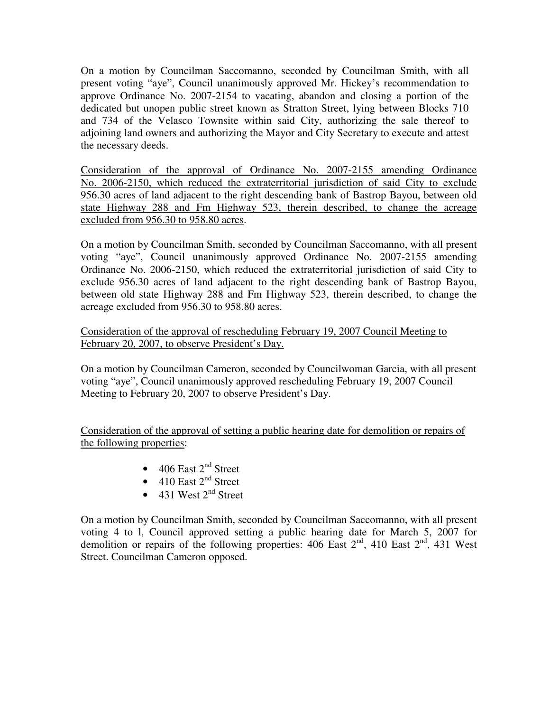On a motion by Councilman Saccomanno, seconded by Councilman Smith, with all present voting "aye", Council unanimously approved Mr. Hickey's recommendation to approve Ordinance No. 2007-2154 to vacating, abandon and closing a portion of the dedicated but unopen public street known as Stratton Street, lying between Blocks 710 and 734 of the Velasco Townsite within said City, authorizing the sale thereof to adjoining land owners and authorizing the Mayor and City Secretary to execute and attest the necessary deeds.

Consideration of the approval of Ordinance No. 2007-2155 amending Ordinance No. 2006-2150, which reduced the extraterritorial jurisdiction of said City to exclude 956.30 acres of land adjacent to the right descending bank of Bastrop Bayou, between old state Highway 288 and Fm Highway 523, therein described, to change the acreage excluded from 956.30 to 958.80 acres.

On a motion by Councilman Smith, seconded by Councilman Saccomanno, with all present voting "aye", Council unanimously approved Ordinance No. 2007-2155 amending Ordinance No. 2006-2150, which reduced the extraterritorial jurisdiction of said City to exclude 956.30 acres of land adjacent to the right descending bank of Bastrop Bayou, between old state Highway 288 and Fm Highway 523, therein described, to change the acreage excluded from 956.30 to 958.80 acres.

Consideration of the approval of rescheduling February 19, 2007 Council Meeting to February 20, 2007, to observe President's Day.

On a motion by Councilman Cameron, seconded by Councilwoman Garcia, with all present voting "aye", Council unanimously approved rescheduling February 19, 2007 Council Meeting to February 20, 2007 to observe President's Day.

Consideration of the approval of setting a public hearing date for demolition or repairs of the following properties:

- 406 East  $2<sup>nd</sup>$  Street
- 410 East  $2<sup>nd</sup>$  Street
- 431 West  $2<sup>nd</sup>$  Street

On a motion by Councilman Smith, seconded by Councilman Saccomanno, with all present voting 4 to l, Council approved setting a public hearing date for March 5, 2007 for demolition or repairs of the following properties: 406 East  $2<sup>nd</sup>$ , 410 East  $2<sup>nd</sup>$ , 431 West Street. Councilman Cameron opposed.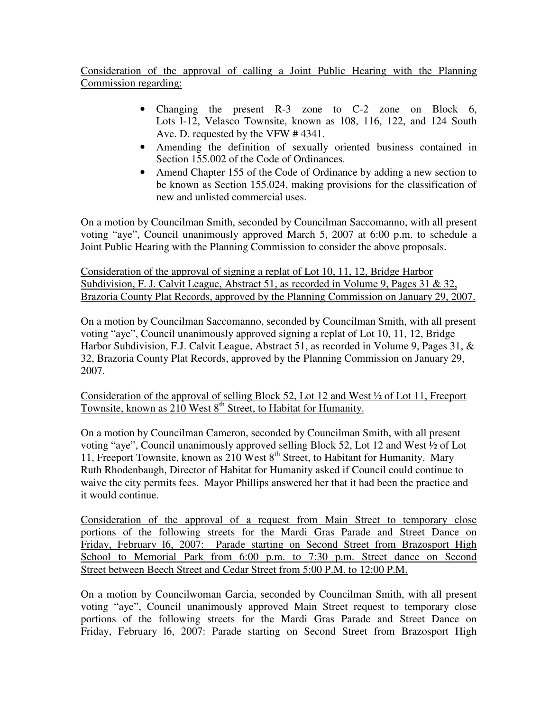Consideration of the approval of calling a Joint Public Hearing with the Planning Commission regarding:

- Changing the present R-3 zone to C-2 zone on Block 6, Lots l-12, Velasco Townsite, known as 108, 116, 122, and 124 South Ave. D. requested by the VFW # 4341.
- Amending the definition of sexually oriented business contained in Section 155.002 of the Code of Ordinances.
- Amend Chapter 155 of the Code of Ordinance by adding a new section to be known as Section 155.024, making provisions for the classification of new and unlisted commercial uses.

On a motion by Councilman Smith, seconded by Councilman Saccomanno, with all present voting "aye", Council unanimously approved March 5, 2007 at 6:00 p.m. to schedule a Joint Public Hearing with the Planning Commission to consider the above proposals.

Consideration of the approval of signing a replat of Lot 10, 11, 12, Bridge Harbor Subdivision, F. J. Calvit League, Abstract 51, as recorded in Volume 9, Pages 31 & 32, Brazoria County Plat Records, approved by the Planning Commission on January 29, 2007.

On a motion by Councilman Saccomanno, seconded by Councilman Smith, with all present voting "aye", Council unanimously approved signing a replat of Lot 10, 11, 12, Bridge Harbor Subdivision, F.J. Calvit League, Abstract 51, as recorded in Volume 9, Pages 31, & 32, Brazoria County Plat Records, approved by the Planning Commission on January 29, 2007.

Consideration of the approval of selling Block 52, Lot 12 and West ½ of Lot 11, Freeport Townsite, known as 210 West 8<sup>th</sup> Street, to Habitat for Humanity.

On a motion by Councilman Cameron, seconded by Councilman Smith, with all present voting "aye", Council unanimously approved selling Block 52, Lot 12 and West ½ of Lot 11, Freeport Townsite, known as 210 West 8<sup>th</sup> Street, to Habitant for Humanity. Mary Ruth Rhodenbaugh, Director of Habitat for Humanity asked if Council could continue to waive the city permits fees. Mayor Phillips answered her that it had been the practice and it would continue.

Consideration of the approval of a request from Main Street to temporary close portions of the following streets for the Mardi Gras Parade and Street Dance on Friday, February l6, 2007: Parade starting on Second Street from Brazosport High School to Memorial Park from 6:00 p.m. to 7:30 p.m. Street dance on Second Street between Beech Street and Cedar Street from 5:00 P.M. to 12:00 P.M.

On a motion by Councilwoman Garcia, seconded by Councilman Smith, with all present voting "aye", Council unanimously approved Main Street request to temporary close portions of the following streets for the Mardi Gras Parade and Street Dance on Friday, February l6, 2007: Parade starting on Second Street from Brazosport High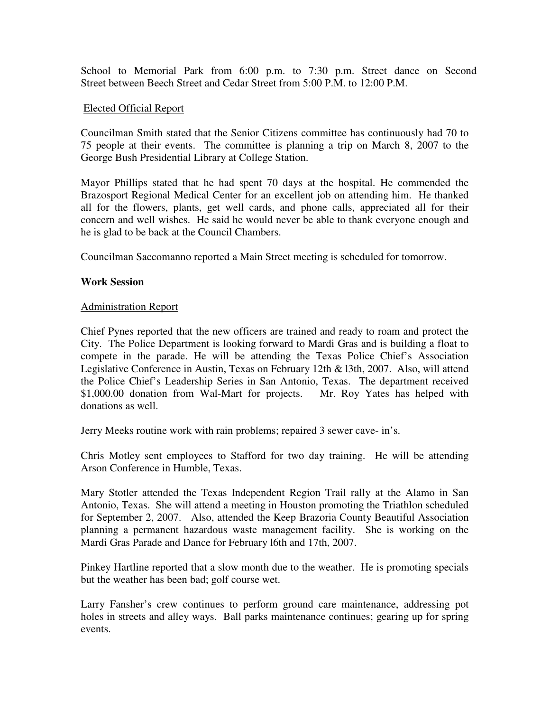School to Memorial Park from 6:00 p.m. to 7:30 p.m. Street dance on Second Street between Beech Street and Cedar Street from 5:00 P.M. to 12:00 P.M.

### Elected Official Report

Councilman Smith stated that the Senior Citizens committee has continuously had 70 to 75 people at their events. The committee is planning a trip on March 8, 2007 to the George Bush Presidential Library at College Station.

Mayor Phillips stated that he had spent 70 days at the hospital. He commended the Brazosport Regional Medical Center for an excellent job on attending him. He thanked all for the flowers, plants, get well cards, and phone calls, appreciated all for their concern and well wishes. He said he would never be able to thank everyone enough and he is glad to be back at the Council Chambers.

Councilman Saccomanno reported a Main Street meeting is scheduled for tomorrow.

# **Work Session**

# Administration Report

Chief Pynes reported that the new officers are trained and ready to roam and protect the City. The Police Department is looking forward to Mardi Gras and is building a float to compete in the parade. He will be attending the Texas Police Chief's Association Legislative Conference in Austin, Texas on February 12th & l3th, 2007. Also, will attend the Police Chief's Leadership Series in San Antonio, Texas. The department received \$1,000.00 donation from Wal-Mart for projects. Mr. Roy Yates has helped with donations as well.

Jerry Meeks routine work with rain problems; repaired 3 sewer cave- in's.

Chris Motley sent employees to Stafford for two day training. He will be attending Arson Conference in Humble, Texas.

Mary Stotler attended the Texas Independent Region Trail rally at the Alamo in San Antonio, Texas. She will attend a meeting in Houston promoting the Triathlon scheduled for September 2, 2007. Also, attended the Keep Brazoria County Beautiful Association planning a permanent hazardous waste management facility. She is working on the Mardi Gras Parade and Dance for February l6th and 17th, 2007.

Pinkey Hartline reported that a slow month due to the weather. He is promoting specials but the weather has been bad; golf course wet.

Larry Fansher's crew continues to perform ground care maintenance, addressing pot holes in streets and alley ways. Ball parks maintenance continues; gearing up for spring events.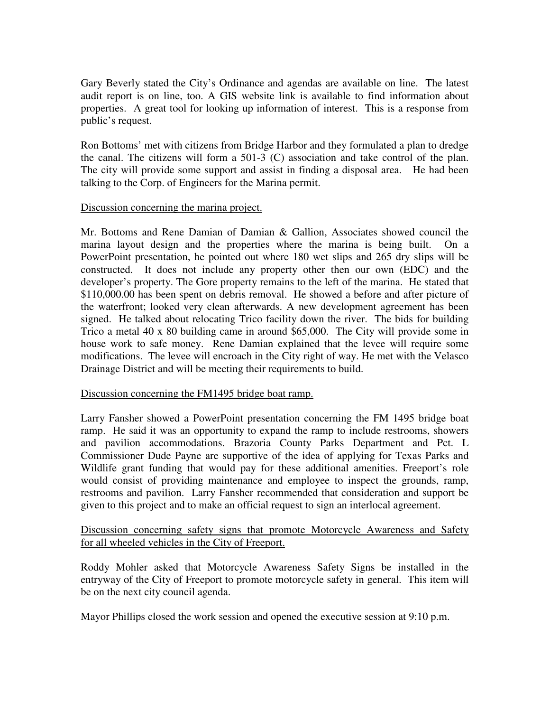Gary Beverly stated the City's Ordinance and agendas are available on line. The latest audit report is on line, too. A GIS website link is available to find information about properties. A great tool for looking up information of interest. This is a response from public's request.

Ron Bottoms' met with citizens from Bridge Harbor and they formulated a plan to dredge the canal. The citizens will form a 501-3 (C) association and take control of the plan. The city will provide some support and assist in finding a disposal area. He had been talking to the Corp. of Engineers for the Marina permit.

#### Discussion concerning the marina project.

Mr. Bottoms and Rene Damian of Damian & Gallion, Associates showed council the marina layout design and the properties where the marina is being built. On a PowerPoint presentation, he pointed out where 180 wet slips and 265 dry slips will be constructed. It does not include any property other then our own (EDC) and the developer's property. The Gore property remains to the left of the marina. He stated that \$110,000.00 has been spent on debris removal. He showed a before and after picture of the waterfront; looked very clean afterwards. A new development agreement has been signed. He talked about relocating Trico facility down the river. The bids for building Trico a metal 40 x 80 building came in around \$65,000. The City will provide some in house work to safe money. Rene Damian explained that the levee will require some modifications. The levee will encroach in the City right of way. He met with the Velasco Drainage District and will be meeting their requirements to build.

#### Discussion concerning the FM1495 bridge boat ramp.

Larry Fansher showed a PowerPoint presentation concerning the FM 1495 bridge boat ramp. He said it was an opportunity to expand the ramp to include restrooms, showers and pavilion accommodations. Brazoria County Parks Department and Pct. L Commissioner Dude Payne are supportive of the idea of applying for Texas Parks and Wildlife grant funding that would pay for these additional amenities. Freeport's role would consist of providing maintenance and employee to inspect the grounds, ramp, restrooms and pavilion. Larry Fansher recommended that consideration and support be given to this project and to make an official request to sign an interlocal agreement.

# Discussion concerning safety signs that promote Motorcycle Awareness and Safety for all wheeled vehicles in the City of Freeport.

Roddy Mohler asked that Motorcycle Awareness Safety Signs be installed in the entryway of the City of Freeport to promote motorcycle safety in general. This item will be on the next city council agenda.

Mayor Phillips closed the work session and opened the executive session at 9:10 p.m.